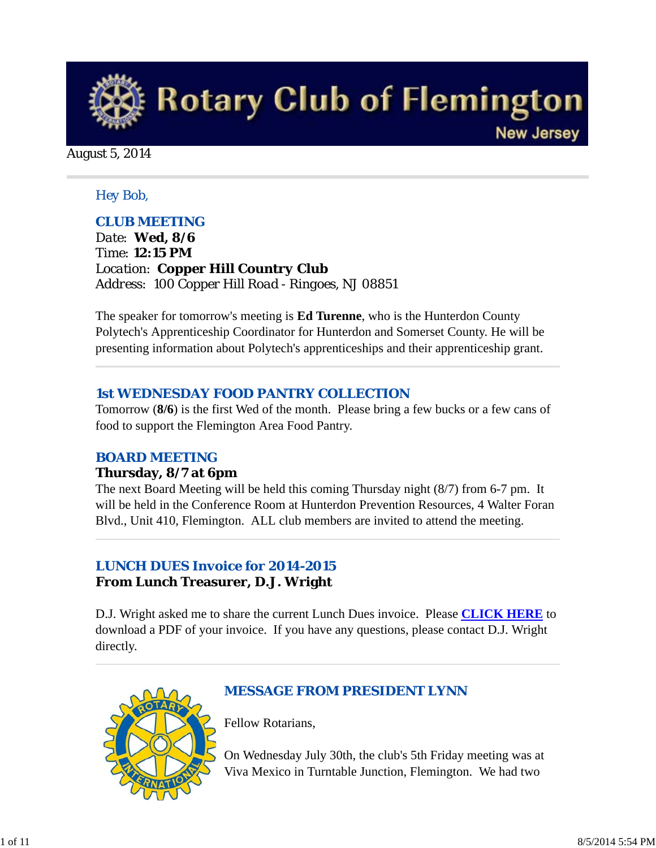

August 5, 2014

#### *Hey Bob,*

#### *CLUB MEETING*

*Date: Wed, 8/6 Time: 12:15 PM Location: Copper Hill Country Club Address: 100 Copper Hill Road - Ringoes, NJ 08851*

The speaker for tomorrow's meeting is **Ed Turenne**, who is the Hunterdon County Polytech's Apprenticeship Coordinator for Hunterdon and Somerset County. He will be presenting information about Polytech's apprenticeships and their apprenticeship grant.

#### *1st WEDNESDAY FOOD PANTRY COLLECTION*

Tomorrow (**8/6**) is the first Wed of the month. Please bring a few bucks or a few cans of food to support the Flemington Area Food Pantry.

### *BOARD MEETING*

#### **Thursday, 8/7 at 6pm**

The next Board Meeting will be held this coming Thursday night (8/7) from 6-7 pm. It will be held in the Conference Room at Hunterdon Prevention Resources, 4 Walter Foran Blvd., Unit 410, Flemington. ALL club members are invited to attend the meeting.

### *LUNCH DUES Invoice for 2014-2015* **From Lunch Treasurer, D.J. Wright**

D.J. Wright asked me to share the current Lunch Dues invoice. Please **CLICK HERE** to download a PDF of your invoice. If you have any questions, please contact D.J. Wright directly.



### *MESSAGE FROM PRESIDENT LYNN*

Fellow Rotarians,

On Wednesday July 30th, the club's 5th Friday meeting was at Viva Mexico in Turntable Junction, Flemington. We had two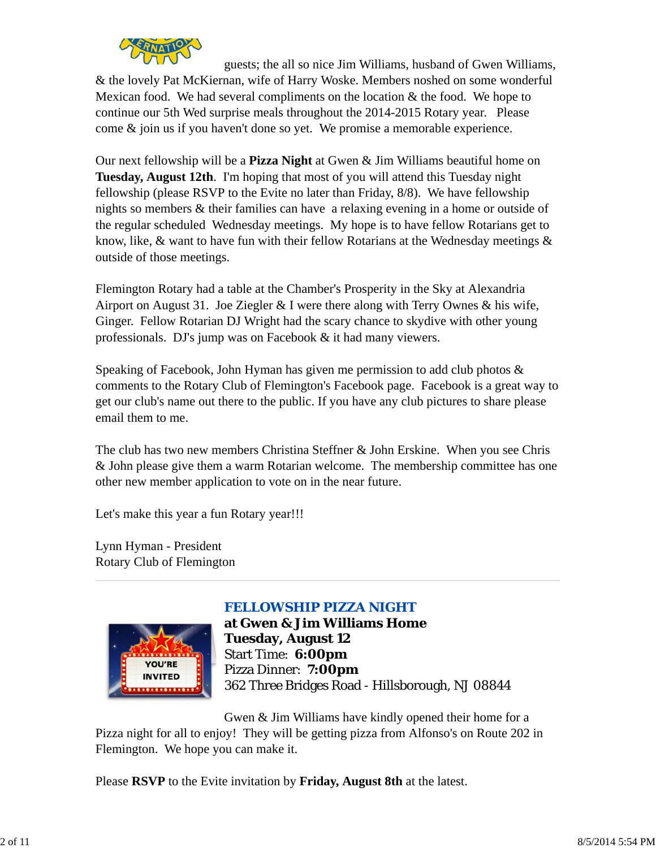

guests; the all so nice Jim Williams, husband of Gwen Williams, & the lovely Pat McKiernan, wife of Harry Woske. Members noshed on some wonderful Mexican food. We had several compliments on the location  $&$  the food. We hope to continue our 5th Wed surprise meals throughout the 2014-2015 Rotary year. Please come & join us if you haven't done so yet. We promise a memorable experience.

Our next fellowship will be a **Pizza Night** at Gwen & Jim Williams beautiful home on **Tuesday, August 12th**. I'm hoping that most of you will attend this Tuesday night fellowship (please RSVP to the Evite no later than Friday, 8/8). We have fellowship nights so members & their families can have a relaxing evening in a home or outside of the regular scheduled Wednesday meetings. My hope is to have fellow Rotarians get to know, like, & want to have fun with their fellow Rotarians at the Wednesday meetings & outside of those meetings.

Flemington Rotary had a table at the Chamber's Prosperity in the Sky at Alexandria Airport on August 31. Joe Ziegler  $&I$  were there along with Terry Ownes  $&$  his wife, Ginger. Fellow Rotarian DJ Wright had the scary chance to skydive with other young professionals. DJ's jump was on Facebook & it had many viewers.

Speaking of Facebook, John Hyman has given me permission to add club photos & comments to the Rotary Club of Flemington's Facebook page. Facebook is a great way to get our club's name out there to the public. If you have any club pictures to share please email them to me.

The club has two new members Christina Steffner & John Erskine. When you see Chris & John please give them a warm Rotarian welcome. The membership committee has one other new member application to vote on in the near future.

Let's make this year a fun Rotary year!!!

Lynn Hyman - President Rotary Club of Flemington



## *FELLOWSHIP PIZZA NIGHT*

**at Gwen & Jim Williams Home Tuesday, August 12** Start Time: **6:00pm** Pizza Dinner: **7:00pm** 362 Three Bridges Road - Hillsborough, NJ 08844

Gwen & Jim Williams have kindly opened their home for a Pizza night for all to enjoy! They will be getting pizza from Alfonso's on Route 202 in Flemington. We hope you can make it.

Please **RSVP** to the Evite invitation by **Friday, August 8th** at the latest.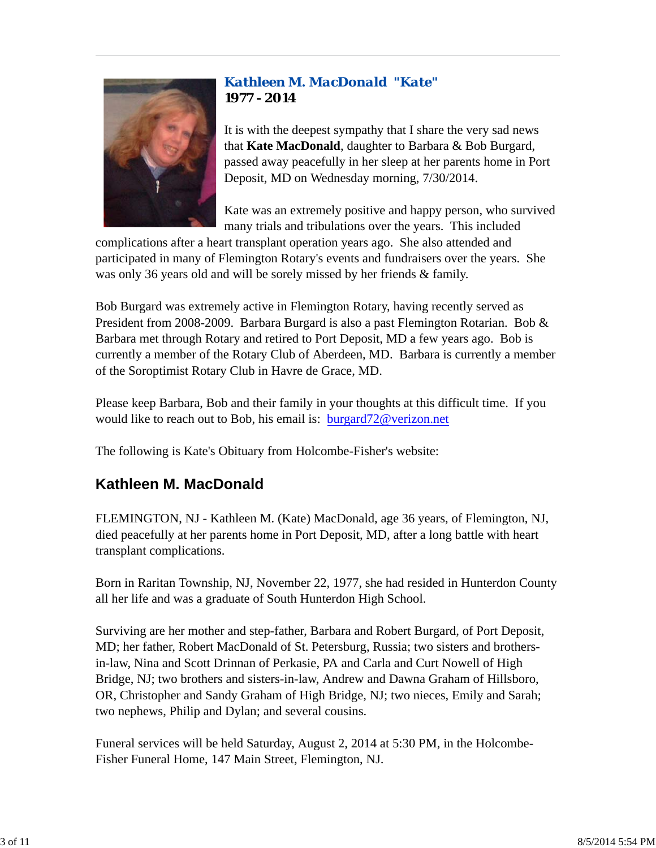### *Kathleen M. MacDonald "Kate"* **1977 - 2014**



It is with the deepest sympathy that I share the very sad news that **Kate MacDonald**, daughter to Barbara & Bob Burgard, passed away peacefully in her sleep at her parents home in Port Deposit, MD on Wednesday morning, 7/30/2014.

Kate was an extremely positive and happy person, who survived many trials and tribulations over the years. This included

complications after a heart transplant operation years ago. She also attended and participated in many of Flemington Rotary's events and fundraisers over the years. She was only 36 years old and will be sorely missed by her friends & family.

Bob Burgard was extremely active in Flemington Rotary, having recently served as President from 2008-2009. Barbara Burgard is also a past Flemington Rotarian. Bob & Barbara met through Rotary and retired to Port Deposit, MD a few years ago. Bob is currently a member of the Rotary Club of Aberdeen, MD. Barbara is currently a member of the Soroptimist Rotary Club in Havre de Grace, MD.

Please keep Barbara, Bob and their family in your thoughts at this difficult time. If you would like to reach out to Bob, his email is: burgard72@verizon.net

The following is Kate's Obituary from Holcombe-Fisher's website:

## **Kathleen M. MacDonald**

FLEMINGTON, NJ - Kathleen M. (Kate) MacDonald, age 36 years, of Flemington, NJ, died peacefully at her parents home in Port Deposit, MD, after a long battle with heart transplant complications.

Born in Raritan Township, NJ, November 22, 1977, she had resided in Hunterdon County all her life and was a graduate of South Hunterdon High School.

Surviving are her mother and step-father, Barbara and Robert Burgard, of Port Deposit, MD; her father, Robert MacDonald of St. Petersburg, Russia; two sisters and brothersin-law, Nina and Scott Drinnan of Perkasie, PA and Carla and Curt Nowell of High Bridge, NJ; two brothers and sisters-in-law, Andrew and Dawna Graham of Hillsboro, OR, Christopher and Sandy Graham of High Bridge, NJ; two nieces, Emily and Sarah; two nephews, Philip and Dylan; and several cousins.

Funeral services will be held Saturday, August 2, 2014 at 5:30 PM, in the Holcombe-Fisher Funeral Home, 147 Main Street, Flemington, NJ.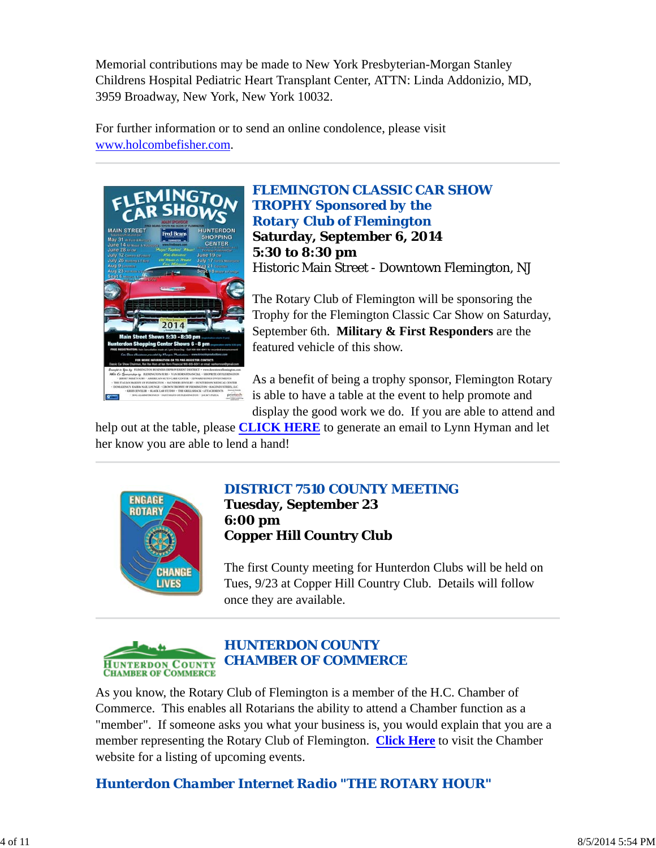Memorial contributions may be made to New York Presbyterian-Morgan Stanley Childrens Hospital Pediatric Heart Transplant Center, ATTN: Linda Addonizio, MD, 3959 Broadway, New York, New York 10032.

For further information or to send an online condolence, please visit www.holcombefisher.com.



*FLEMINGTON CLASSIC CAR SHOW TROPHY Sponsored by the Rotary Club of Flemington* **Saturday, September 6, 2014 5:30 to 8:30 pm** Historic Main Street - Downtown Flemington, NJ

The Rotary Club of Flemington will be sponsoring the Trophy for the Flemington Classic Car Show on Saturday, September 6th. **Military & First Responders** are the featured vehicle of this show.

As a benefit of being a trophy sponsor, Flemington Rotary is able to have a table at the event to help promote and display the good work we do. If you are able to attend and

help out at the table, please **CLICK HERE** to generate an email to Lynn Hyman and let her know you are able to lend a hand!



### *DISTRICT 7510 COUNTY MEETING* **Tuesday, September 23 6:00 pm Copper Hill Country Club**

The first County meeting for Hunterdon Clubs will be held on Tues, 9/23 at Copper Hill Country Club. Details will follow once they are available.



As you know, the Rotary Club of Flemington is a member of the H.C. Chamber of Commerce. This enables all Rotarians the ability to attend a Chamber function as a "member". If someone asks you what your business is, you would explain that you are a member representing the Rotary Club of Flemington. **Click Here** to visit the Chamber website for a listing of upcoming events.

*Hunterdon Chamber Internet Radio "THE ROTARY HOUR"*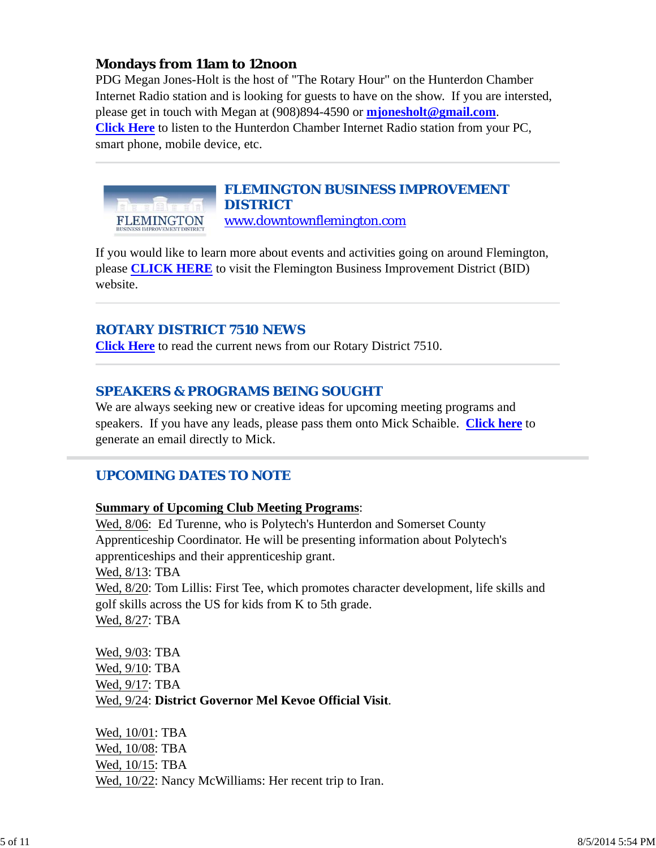### **Mondays from 11am to 12noon**

PDG Megan Jones-Holt is the host of "The Rotary Hour" on the Hunterdon Chamber Internet Radio station and is looking for guests to have on the show. If you are intersted, please get in touch with Megan at (908)894-4590 or **mjonesholt@gmail.com**. **Click Here** to listen to the Hunterdon Chamber Internet Radio station from your PC, smart phone, mobile device, etc.



#### *FLEMINGTON BUSINESS IMPROVEMENT DISTRICT* www.downtownflemington.com

If you would like to learn more about events and activities going on around Flemington, please **CLICK HERE** to visit the Flemington Business Improvement District (BID) website.

### *ROTARY DISTRICT 7510 NEWS*

**Click Here** to read the current news from our Rotary District 7510.

### *SPEAKERS & PROGRAMS BEING SOUGHT*

We are always seeking new or creative ideas for upcoming meeting programs and speakers. If you have any leads, please pass them onto Mick Schaible. **Click here** to generate an email directly to Mick.

### *UPCOMING DATES TO NOTE*

#### **Summary of Upcoming Club Meeting Programs**:

Wed, 8/06: Ed Turenne, who is Polytech's Hunterdon and Somerset County Apprenticeship Coordinator. He will be presenting information about Polytech's apprenticeships and their apprenticeship grant. Wed, 8/13: TBA Wed, 8/20: Tom Lillis: First Tee, which promotes character development, life skills and golf skills across the US for kids from K to 5th grade. Wed, 8/27: TBA

Wed, 9/03: TBA Wed, 9/10: TBA Wed, 9/17: TBA Wed, 9/24: **District Governor Mel Kevoe Official Visit**.

Wed, 10/01: TBA Wed, 10/08: TBA Wed, 10/15: TBA Wed, 10/22: Nancy McWilliams: Her recent trip to Iran.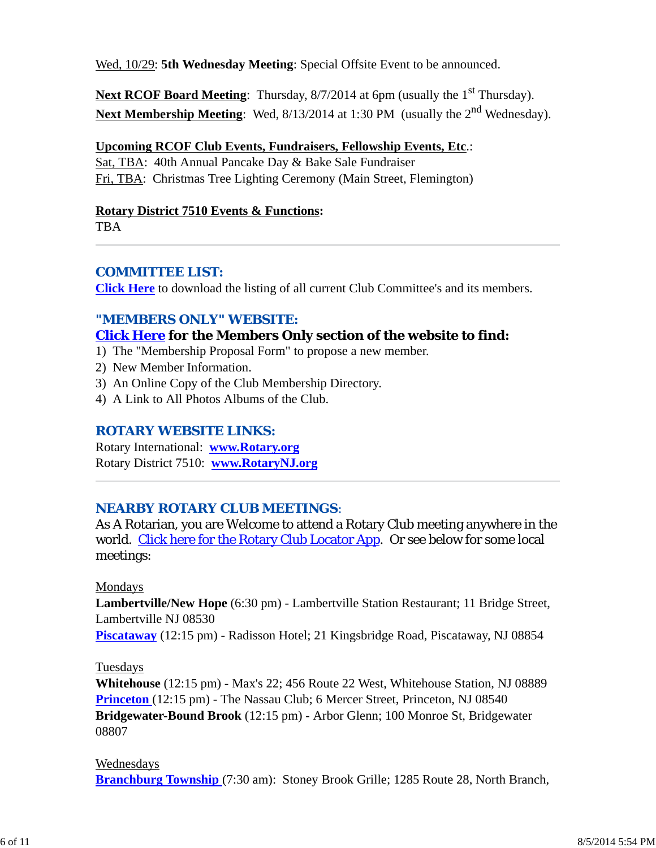Wed, 10/29: **5th Wednesday Meeting**: Special Offsite Event to be announced.

Next RCOF Board Meeting: Thursday, 8/7/2014 at 6pm (usually the 1<sup>st</sup> Thursday). Next Membership Meeting: Wed, 8/13/2014 at 1:30 PM (usually the 2<sup>nd</sup> Wednesday).

### **Upcoming RCOF Club Events, Fundraisers, Fellowship Events, Etc**.:

Sat, TBA: 40th Annual Pancake Day & Bake Sale Fundraiser Fri, TBA: Christmas Tree Lighting Ceremony (Main Street, Flemington)

### **Rotary District 7510 Events & Functions:**

TBA

### *COMMITTEE LIST:*

**Click Here** to download the listing of all current Club Committee's and its members.

### *"MEMBERS ONLY" WEBSITE:*

### **Click Here for the Members Only section of the website to find:**

- 1) The "Membership Proposal Form" to propose a new member.
- 2) New Member Information.
- 3) An Online Copy of the Club Membership Directory.
- 4) A Link to All Photos Albums of the Club.

### *ROTARY WEBSITE LINKS:*

Rotary International: **www.Rotary.org** Rotary District 7510: **www.RotaryNJ.org**

### *NEARBY ROTARY CLUB MEETINGS:*

As A Rotarian, you are Welcome to attend a Rotary Club meeting anywhere in the world. Click here for the Rotary Club Locator App. Or see below for some local meetings:

### Mondays

**Lambertville/New Hope** (6:30 pm) - Lambertville Station Restaurant; 11 Bridge Street, Lambertville NJ 08530

**Piscataway** (12:15 pm) - Radisson Hotel; 21 Kingsbridge Road, Piscataway, NJ 08854

### Tuesdays

**Whitehouse** (12:15 pm) - Max's 22; 456 Route 22 West, Whitehouse Station, NJ 08889 **Princeton** (12:15 pm) - The Nassau Club; 6 Mercer Street, Princeton, NJ 08540 **Bridgewater-Bound Brook** (12:15 pm) - Arbor Glenn; 100 Monroe St, Bridgewater 08807

### Wednesdays

**Branchburg Township** (7:30 am): Stoney Brook Grille; 1285 Route 28, North Branch,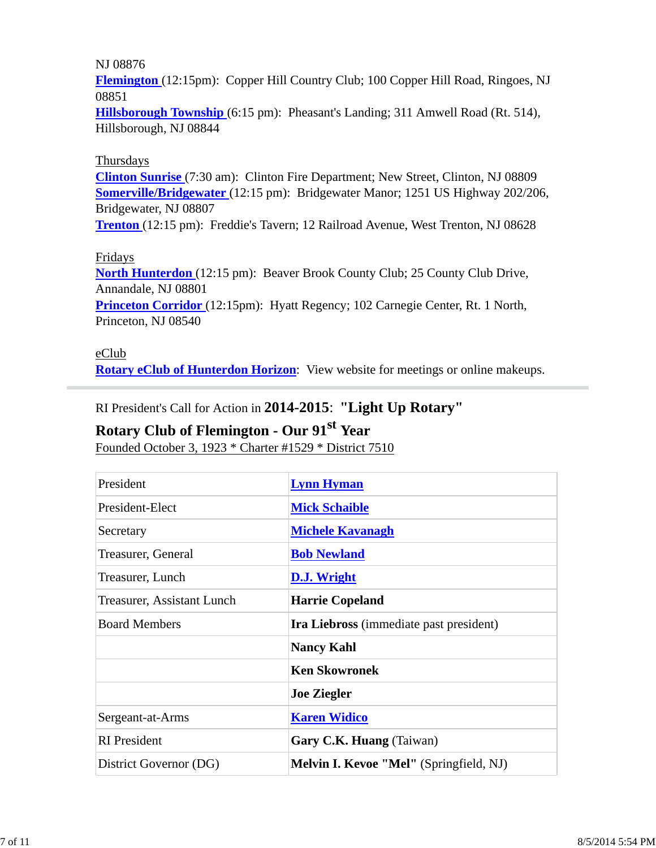#### NJ 08876

**Flemington** (12:15pm): Copper Hill Country Club; 100 Copper Hill Road, Ringoes, NJ 08851

**Hillsborough Township** (6:15 pm): Pheasant's Landing; 311 Amwell Road (Rt. 514), Hillsborough, NJ 08844

#### Thursdays

**Clinton Sunrise** (7:30 am): Clinton Fire Department; New Street, Clinton, NJ 08809 **Somerville/Bridgewater** (12:15 pm): Bridgewater Manor; 1251 US Highway 202/206, Bridgewater, NJ 08807

**Trenton** (12:15 pm): Freddie's Tavern; 12 Railroad Avenue, West Trenton, NJ 08628

#### Fridays

**North Hunterdon** (12:15 pm): Beaver Brook County Club; 25 County Club Drive, Annandale, NJ 08801

**Princeton Corridor** (12:15pm): Hyatt Regency; 102 Carnegie Center, Rt. 1 North, Princeton, NJ 08540

#### eClub

**Rotary eClub of Hunterdon Horizon**: View website for meetings or online makeups.

### RI President's Call for Action in **2014-2015**: **"Light Up Rotary"**

# **Rotary Club of Flemington - Our 91st Year**

Founded October 3, 1923 \* Charter #1529 \* District 7510

| President                  | <b>Lynn Hyman</b>                              |  |
|----------------------------|------------------------------------------------|--|
| President-Elect            | <b>Mick Schaible</b>                           |  |
| Secretary                  | <b>Michele Kavanagh</b>                        |  |
| Treasurer, General         | <b>Bob Newland</b>                             |  |
| Treasurer, Lunch           | D.J. Wright                                    |  |
| Treasurer, Assistant Lunch | <b>Harrie Copeland</b>                         |  |
| <b>Board Members</b>       | <b>Ira Liebross</b> (immediate past president) |  |
|                            | <b>Nancy Kahl</b>                              |  |
|                            | <b>Ken Skowronek</b>                           |  |
|                            | <b>Joe Ziegler</b>                             |  |
| Sergeant-at-Arms           | <b>Karen Widico</b>                            |  |
| <b>RI</b> President        | Gary C.K. Huang (Taiwan)                       |  |
| District Governor (DG)     | Melvin I. Kevoe "Mel" (Springfield, NJ)        |  |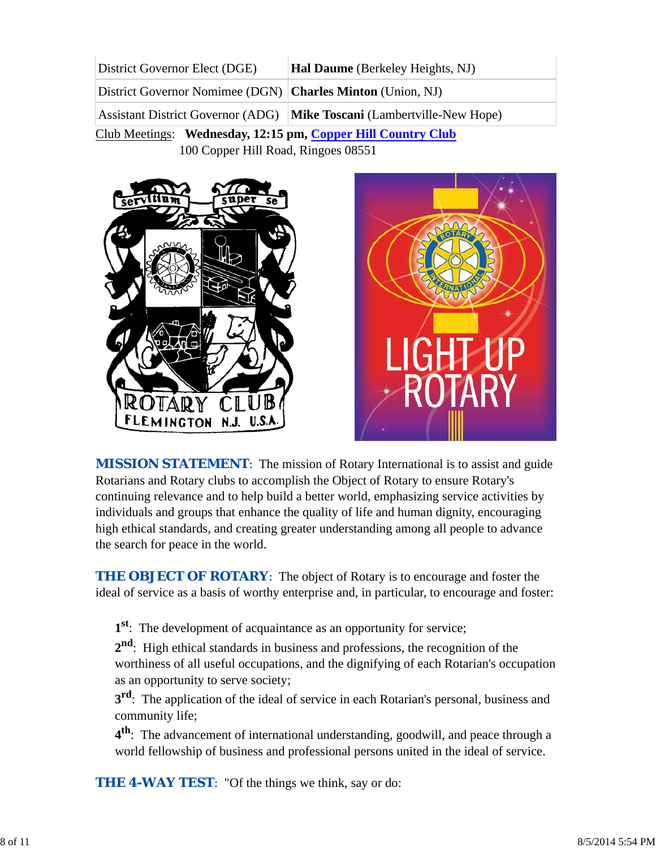| District Governor Elect (DGE)                                | <b>Hal Daume</b> (Berkeley Heights, NJ)                                |  |
|--------------------------------------------------------------|------------------------------------------------------------------------|--|
| District Governor Nomimee (DGN)   Charles Minton (Union, NJ) |                                                                        |  |
|                                                              | Assistant District Governor (ADG) Mike Toscani (Lambertville-New Hope) |  |
| Club Meetings: Wednesday, 12:15 pm, Copper Hill Country Club |                                                                        |  |

100 Copper Hill Road, Ringoes 08551





*MISSION STATEMENT*: The mission of Rotary International is to assist and guide Rotarians and Rotary clubs to accomplish the Object of Rotary to ensure Rotary's continuing relevance and to help build a better world, emphasizing service activities by individuals and groups that enhance the quality of life and human dignity, encouraging high ethical standards, and creating greater understanding among all people to advance the search for peace in the world.

**THE OBJECT OF ROTARY:** The object of Rotary is to encourage and foster the ideal of service as a basis of worthy enterprise and, in particular, to encourage and foster:

**1st**: The development of acquaintance as an opportunity for service;

**2nd**: High ethical standards in business and professions, the recognition of the worthiness of all useful occupations, and the dignifying of each Rotarian's occupation as an opportunity to serve society;

**3<sup>rd</sup>**: The application of the ideal of service in each Rotarian's personal, business and community life;

**4th**: The advancement of international understanding, goodwill, and peace through a world fellowship of business and professional persons united in the ideal of service.

**THE 4-WAY TEST:** "Of the things we think, say or do: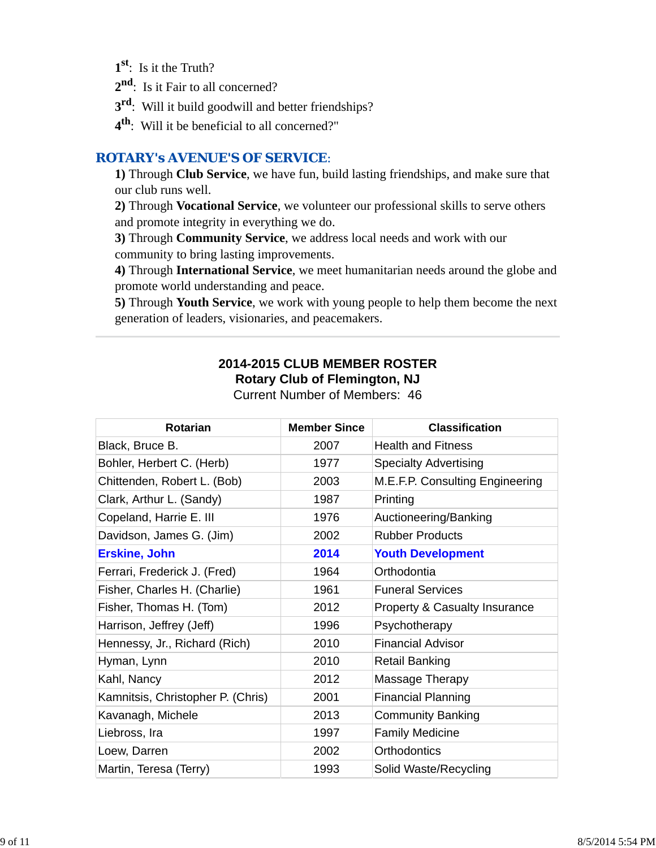**1st**: Is it the Truth?

2<sup>nd</sup>: Is it Fair to all concerned?

**3rd**: Will it build goodwill and better friendships?

**4th**: Will it be beneficial to all concerned?"

### *ROTARY's AVENUE'S OF SERVICE*:

**1)** Through **Club Service**, we have fun, build lasting friendships, and make sure that our club runs well.

**2)** Through **Vocational Service**, we volunteer our professional skills to serve others and promote integrity in everything we do.

**3)** Through **Community Service**, we address local needs and work with our community to bring lasting improvements.

**4)** Through **International Service**, we meet humanitarian needs around the globe and promote world understanding and peace.

**5)** Through **Youth Service**, we work with young people to help them become the next generation of leaders, visionaries, and peacemakers.

### **2014-2015 CLUB MEMBER ROSTER Rotary Club of Flemington, NJ**

| <b>Rotarian</b>                   | <b>Member Since</b> | <b>Classification</b>                    |
|-----------------------------------|---------------------|------------------------------------------|
| Black, Bruce B.                   | 2007                | <b>Health and Fitness</b>                |
| Bohler, Herbert C. (Herb)         | 1977                | <b>Specialty Advertising</b>             |
| Chittenden, Robert L. (Bob)       | 2003                | M.E.F.P. Consulting Engineering          |
| Clark, Arthur L. (Sandy)          | 1987                | Printing                                 |
| Copeland, Harrie E. III           | 1976                | Auctioneering/Banking                    |
| Davidson, James G. (Jim)          | 2002                | <b>Rubber Products</b>                   |
| <b>Erskine, John</b>              | 2014                | <b>Youth Development</b>                 |
| Ferrari, Frederick J. (Fred)      | 1964                | Orthodontia                              |
| Fisher, Charles H. (Charlie)      | 1961                | <b>Funeral Services</b>                  |
| Fisher, Thomas H. (Tom)           | 2012                | <b>Property &amp; Casualty Insurance</b> |
| Harrison, Jeffrey (Jeff)          | 1996                | Psychotherapy                            |
| Hennessy, Jr., Richard (Rich)     | 2010                | <b>Financial Advisor</b>                 |
| Hyman, Lynn                       | 2010                | Retail Banking                           |
| Kahl, Nancy                       | 2012                | Massage Therapy                          |
| Kamnitsis, Christopher P. (Chris) | 2001                | <b>Financial Planning</b>                |
| Kavanagh, Michele                 | 2013                | <b>Community Banking</b>                 |
| Liebross, Ira                     | 1997                | <b>Family Medicine</b>                   |
| Loew, Darren                      | 2002                | <b>Orthodontics</b>                      |
| Martin, Teresa (Terry)            | 1993                | Solid Waste/Recycling                    |

Current Number of Members: 46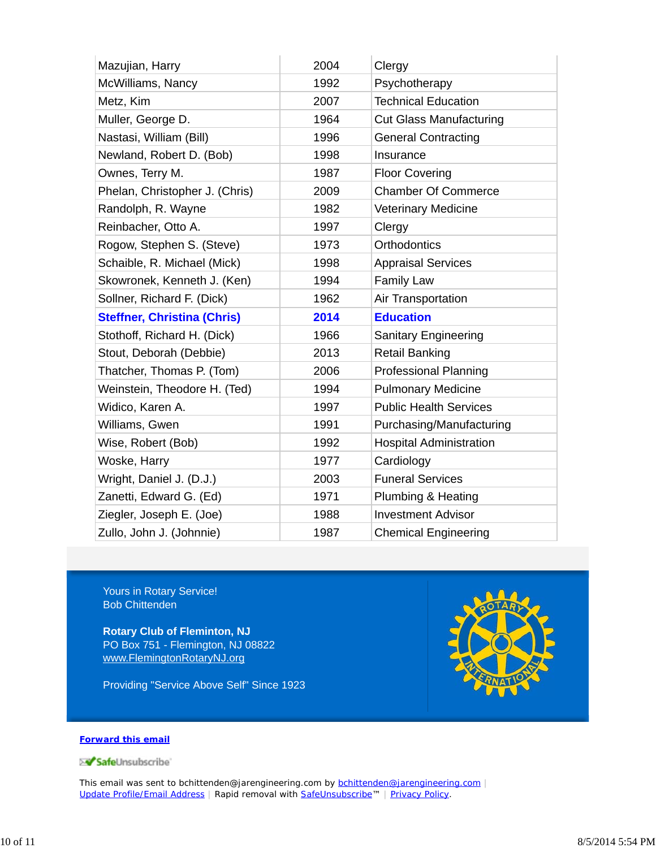| Mazujian, Harry                    | 2004 | Clergy                         |
|------------------------------------|------|--------------------------------|
| McWilliams, Nancy                  | 1992 | Psychotherapy                  |
| Metz, Kim                          | 2007 | <b>Technical Education</b>     |
| Muller, George D.                  | 1964 | <b>Cut Glass Manufacturing</b> |
| Nastasi, William (Bill)            | 1996 | <b>General Contracting</b>     |
| Newland, Robert D. (Bob)           | 1998 | Insurance                      |
| Ownes, Terry M.                    | 1987 | <b>Floor Covering</b>          |
| Phelan, Christopher J. (Chris)     | 2009 | <b>Chamber Of Commerce</b>     |
| Randolph, R. Wayne                 | 1982 | <b>Veterinary Medicine</b>     |
| Reinbacher, Otto A.                | 1997 | Clergy                         |
| Rogow, Stephen S. (Steve)          | 1973 | <b>Orthodontics</b>            |
| Schaible, R. Michael (Mick)        | 1998 | <b>Appraisal Services</b>      |
| Skowronek, Kenneth J. (Ken)        | 1994 | <b>Family Law</b>              |
| Sollner, Richard F. (Dick)         | 1962 | Air Transportation             |
| <b>Steffner, Christina (Chris)</b> | 2014 | <b>Education</b>               |
| Stothoff, Richard H. (Dick)        | 1966 | <b>Sanitary Engineering</b>    |
| Stout, Deborah (Debbie)            | 2013 | <b>Retail Banking</b>          |
| Thatcher, Thomas P. (Tom)          | 2006 | <b>Professional Planning</b>   |
| Weinstein, Theodore H. (Ted)       | 1994 | <b>Pulmonary Medicine</b>      |
| Widico, Karen A.                   | 1997 | <b>Public Health Services</b>  |
| Williams, Gwen                     | 1991 | Purchasing/Manufacturing       |
| Wise, Robert (Bob)                 | 1992 | <b>Hospital Administration</b> |
| Woske, Harry                       | 1977 | Cardiology                     |
| Wright, Daniel J. (D.J.)           | 2003 | <b>Funeral Services</b>        |
| Zanetti, Edward G. (Ed)            | 1971 | Plumbing & Heating             |
| Ziegler, Joseph E. (Joe)           | 1988 | <b>Investment Advisor</b>      |
| Zullo, John J. (Johnnie)           | 1987 | <b>Chemical Engineering</b>    |

Yours in Rotary Service! Bob Chittenden

**Rotary Club of Fleminton, NJ** PO Box 751 - Flemington, NJ 08822 www.FlemingtonRotaryNJ.org

Providing "Service Above Self" Since 1923



#### **Forward this email**

SafeUnsubscribe

This email was sent to bchittenden@jarengineering.com by bchittenden@jarengineering.com | Update Profile/Email Address | Rapid removal with SafeUnsubscribe™ | Privacy Policy.